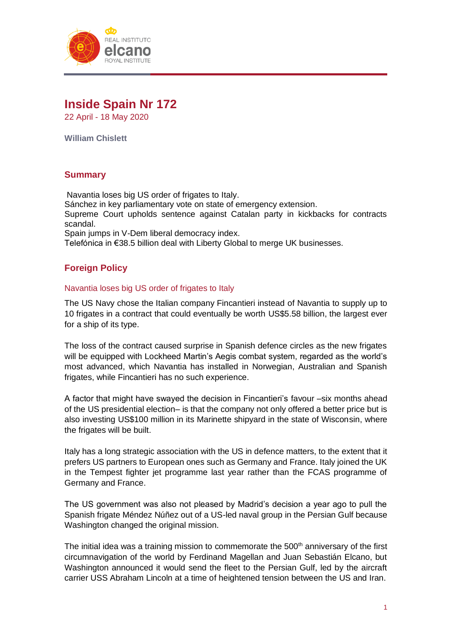

# **Inside Spain Nr 172**

22 April - 18 May 2020

**William Chislett**

# **Summary**

Navantia loses big US order of frigates to Italy. Sánchez in key parliamentary vote on state of emergency extension. Supreme Court upholds sentence against Catalan party in kickbacks for contracts scandal. Spain jumps in V-Dem liberal democracy index. Telefónica in €38.5 billion deal with Liberty Global to merge UK businesses.

# **Foreign Policy**

### Navantia loses big US order of frigates to Italy

The US Navy chose the Italian company Fincantieri instead of Navantia to supply up to 10 frigates in a contract that could eventually be worth US\$5.58 billion, the largest ever for a ship of its type.

The loss of the contract caused surprise in Spanish defence circles as the new frigates will be equipped with Lockheed Martin's Aegis combat system, regarded as the world's most advanced, which Navantia has installed in Norwegian, Australian and Spanish frigates, while Fincantieri has no such experience.

A factor that might have swayed the decision in Fincantieri's favour –six months ahead of the US presidential election– is that the company not only offered a better price but is also investing US\$100 million in its Marinette shipyard in the state of Wisconsin, where the frigates will be built.

Italy has a long strategic association with the US in defence matters, to the extent that it prefers US partners to European ones such as Germany and France. Italy joined the UK in the Tempest fighter jet programme last year rather than the FCAS programme of Germany and France.

The US government was also not pleased by Madrid's decision a year ago to pull the Spanish frigate Méndez Núñez out of a US-led naval group in the Persian Gulf because Washington changed the original mission.

The initial idea was a training mission to commemorate the  $500<sup>th</sup>$  anniversary of the first circumnavigation of the world by Ferdinand Magellan and Juan Sebastián Elcano, but Washington announced it would send the fleet to the Persian Gulf, led by the aircraft carrier USS Abraham Lincoln at a time of heightened tension between the US and Iran.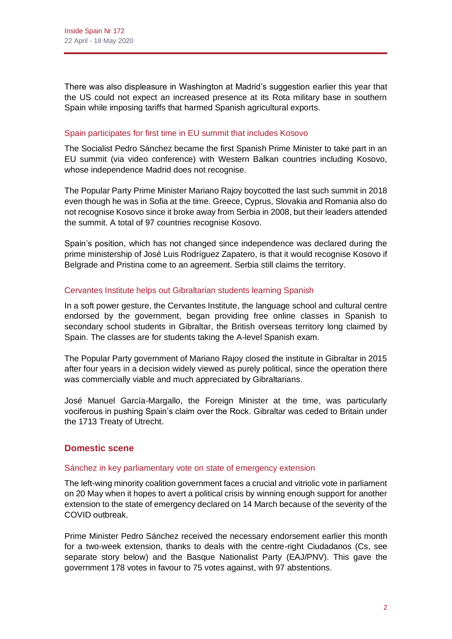There was also displeasure in Washington at Madrid's suggestion earlier this year that the US could not expect an increased presence at its Rota military base in southern Spain while imposing tariffs that harmed Spanish agricultural exports.

### Spain participates for first time in EU summit that includes Kosovo

The Socialist Pedro Sánchez became the first Spanish Prime Minister to take part in an EU summit (via video conference) with Western Balkan countries including Kosovo, whose independence Madrid does not recognise.

The Popular Party Prime Minister Mariano Rajoy boycotted the last such summit in 2018 even though he was in Sofia at the time. Greece, Cyprus, Slovakia and Romania also do not recognise Kosovo since it broke away from Serbia in 2008, but their leaders attended the summit. A total of 97 countries recognise Kosovo.

Spain's position, which has not changed since independence was declared during the prime ministership of José Luis Rodríguez Zapatero, is that it would recognise Kosovo if Belgrade and Pristina come to an agreement. Serbia still claims the territory.

# Cervantes Institute helps out Gibraltarian students learning Spanish

In a soft power gesture, the Cervantes Institute, the language school and cultural centre endorsed by the government, began providing free online classes in Spanish to secondary school students in Gibraltar, the British overseas territory long claimed by Spain. The classes are for students taking the A-level Spanish exam.

The Popular Party government of Mariano Rajoy closed the institute in Gibraltar in 2015 after four years in a decision widely viewed as purely political, since the operation there was commercially viable and much appreciated by Gibraltarians.

José Manuel García-Margallo, the Foreign Minister at the time, was particularly vociferous in pushing Spain's claim over the Rock. Gibraltar was ceded to Britain under the 1713 Treaty of Utrecht.

# **Domestic scene**

### Sánchez in key parliamentary vote on state of emergency extension

The left-wing minority coalition government faces a crucial and vitriolic vote in parliament on 20 May when it hopes to avert a political crisis by winning enough support for another extension to the state of emergency declared on 14 March because of the severity of the COVID outbreak.

Prime Minister Pedro Sánchez received the necessary endorsement earlier this month for a two-week extension, thanks to deals with the centre-right Ciudadanos (Cs, see separate story below) and the Basque Nationalist Party (EAJ/PNV). This gave the government 178 votes in favour to 75 votes against, with 97 abstentions.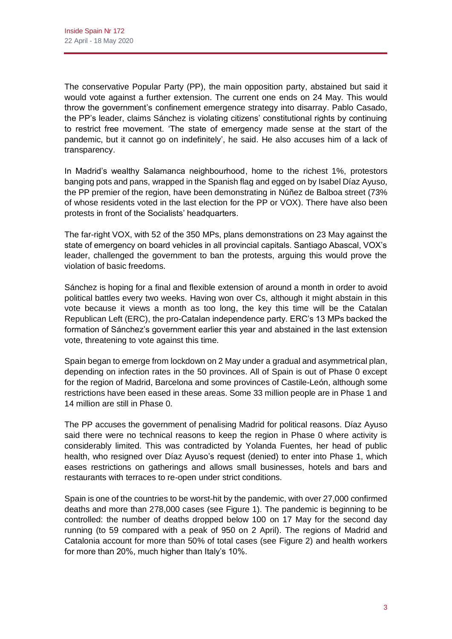The conservative Popular Party (PP), the main opposition party, abstained but said it would vote against a further extension. The current one ends on 24 May. This would throw the government's confinement emergence strategy into disarray. Pablo Casado, the PP's leader, claims Sánchez is violating citizens' constitutional rights by continuing to restrict free movement. 'The state of emergency made sense at the start of the pandemic, but it cannot go on indefinitely', he said. He also accuses him of a lack of transparency.

In Madrid's wealthy Salamanca neighbourhood, home to the richest 1%, protestors banging pots and pans, wrapped in the Spanish flag and egged on by Isabel Díaz Ayuso, the PP premier of the region, have been demonstrating in Núñez de Balboa street (73% of whose residents voted in the last election for the PP or VOX). There have also been protests in front of the Socialists' headquarters.

The far-right VOX, with 52 of the 350 MPs, plans demonstrations on 23 May against the state of emergency on board vehicles in all provincial capitals. Santiago Abascal, VOX's leader, challenged the government to ban the protests, arguing this would prove the violation of basic freedoms.

Sánchez is hoping for a final and flexible extension of around a month in order to avoid political battles every two weeks. Having won over Cs, although it might abstain in this vote because it views a month as too long, the key this time will be the Catalan Republican Left (ERC), the pro-Catalan independence party. ERC's 13 MPs backed the formation of Sánchez's government earlier this year and abstained in the last extension vote, threatening to vote against this time.

Spain began to emerge from lockdown on 2 May under a gradual and asymmetrical plan, depending on infection rates in the 50 provinces. All of Spain is out of Phase 0 except for the region of Madrid, Barcelona and some provinces of Castile-León, although some restrictions have been eased in these areas. Some 33 million people are in Phase 1 and 14 million are still in Phase 0.

The PP accuses the government of penalising Madrid for political reasons. Díaz Ayuso said there were no technical reasons to keep the region in Phase 0 where activity is considerably limited. This was contradicted by Yolanda Fuentes, her head of public health, who resigned over Díaz Ayuso's request (denied) to enter into Phase 1, which eases restrictions on gatherings and allows small businesses, hotels and bars and restaurants with terraces to re-open under strict conditions.

Spain is one of the countries to be worst-hit by the pandemic, with over 27,000 confirmed deaths and more than 278,000 cases (see Figure 1). The pandemic is beginning to be controlled: the number of deaths dropped below 100 on 17 May for the second day running (to 59 compared with a peak of 950 on 2 April). The regions of Madrid and Catalonia account for more than 50% of total cases (see Figure 2) and health workers for more than 20%, much higher than Italy's 10%.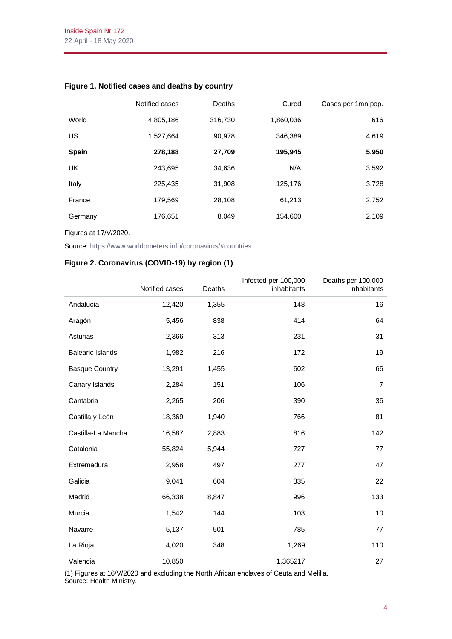|              | Notified cases | Deaths  | Cured     | Cases per 1mn pop. |
|--------------|----------------|---------|-----------|--------------------|
| World        | 4,805,186      | 316,730 | 1,860,036 | 616                |
| US           | 1,527,664      | 90,978  | 346,389   | 4,619              |
| <b>Spain</b> | 278,188        | 27,709  | 195,945   | 5,950              |
| UK           | 243,695        | 34,636  | N/A       | 3,592              |
| Italy        | 225,435        | 31,908  | 125,176   | 3,728              |
| France       | 179,569        | 28,108  | 61,213    | 2,752              |
| Germany      | 176,651        | 8,049   | 154,600   | 2,109              |

### **Figure 1. Notified cases and deaths by country**

Figures at 17/V/2020.

Source[: https://www.worldometers.info/coronavirus/#countries.](https://www.worldometers.info/coronavirus/#countries)

#### **Figure 2. Coronavirus (COVID-19) by region (1)**

|                         | Notified cases | Deaths | Infected per 100,000<br>inhabitants | Deaths per 100,000<br>inhabitants |
|-------------------------|----------------|--------|-------------------------------------|-----------------------------------|
| Andalucía               | 12,420         | 1,355  | 148                                 | 16                                |
| Aragón                  | 5,456          | 838    | 414                                 | 64                                |
| Asturias                | 2,366          | 313    | 231                                 | 31                                |
| <b>Balearic Islands</b> | 1,982          | 216    | 172                                 | 19                                |
| <b>Basque Country</b>   | 13,291         | 1,455  | 602                                 | 66                                |
| Canary Islands          | 2,284          | 151    | 106                                 | $\overline{7}$                    |
| Cantabria               | 2,265          | 206    | 390                                 | 36                                |
| Castilla y León         | 18,369         | 1,940  | 766                                 | 81                                |
| Castilla-La Mancha      | 16,587         | 2,883  | 816                                 | 142                               |
| Catalonia               | 55,824         | 5,944  | 727                                 | 77                                |
| Extremadura             | 2,958          | 497    | 277                                 | 47                                |
| Galicia                 | 9,041          | 604    | 335                                 | 22                                |
| Madrid                  | 66,338         | 8,847  | 996                                 | 133                               |
| Murcia                  | 1,542          | 144    | 103                                 | 10                                |
| Navarre                 | 5,137          | 501    | 785                                 | 77                                |
| La Rioja                | 4,020          | 348    | 1,269                               | 110                               |
| Valencia                | 10,850         |        | 1,365217                            | 27                                |

(1) Figures at 16/V/2020 and excluding the North African enclaves of Ceuta and Melilla. Source: Health Ministry.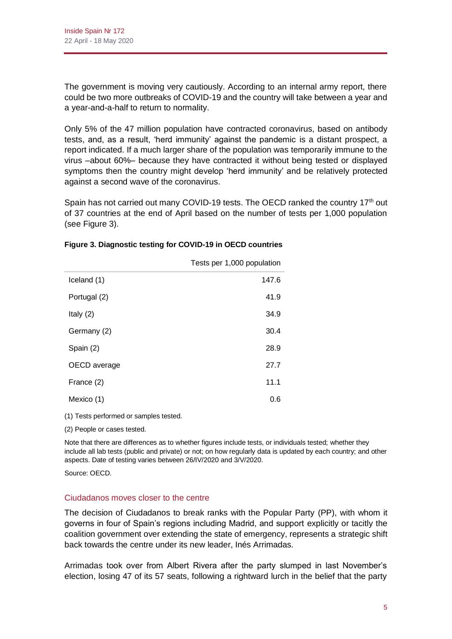The government is moving very cautiously. According to an internal army report, there could be two more outbreaks of COVID-19 and the country will take between a year and a year-and-a-half to return to normality.

Only 5% of the 47 million population have contracted coronavirus, based on antibody tests, and, as a result, 'herd immunity' against the pandemic is a distant prospect, a report indicated. If a much larger share of the population was temporarily immune to the virus –about 60%– because they have contracted it without being tested or displayed symptoms then the country might develop 'herd immunity' and be relatively protected against a second wave of the coronavirus.

Spain has not carried out many COVID-19 tests. The OECD ranked the country 17<sup>th</sup> out of 37 countries at the end of April based on the number of tests per 1,000 population (see Figure 3).

|              | Tests per 1,000 population |
|--------------|----------------------------|
| Iceland (1)  | 147.6                      |
| Portugal (2) | 41.9                       |
| Italy $(2)$  | 34.9                       |
| Germany (2)  | 30.4                       |
| Spain (2)    | 28.9                       |
| OECD average | 27.7                       |
| France (2)   | 11.1                       |
| Mexico (1)   | 0.6                        |

#### **Figure 3. Diagnostic testing for COVID-19 in OECD countries**

(1) Tests performed or samples tested.

(2) People or cases tested.

Note that there are differences as to whether figures include tests, or individuals tested; whether they include all lab tests (public and private) or not; on how regularly data is updated by each country; and other aspects. Date of testing varies between 26/IV/2020 and 3/V/2020.

Source: OECD.

#### Ciudadanos moves closer to the centre

The decision of Ciudadanos to break ranks with the Popular Party (PP), with whom it governs in four of Spain's regions including Madrid, and support explicitly or tacitly the coalition government over extending the state of emergency, represents a strategic shift back towards the centre under its new leader, Inés Arrimadas.

Arrimadas took over from Albert Rivera after the party slumped in last November's election, losing 47 of its 57 seats, following a rightward lurch in the belief that the party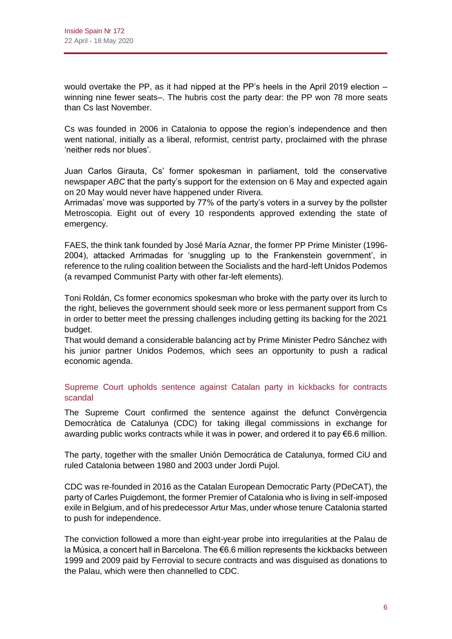would overtake the PP, as it had nipped at the PP's heels in the April 2019 election – winning nine fewer seats–. The hubris cost the party dear: the PP won 78 more seats than Cs last November.

Cs was founded in 2006 in Catalonia to oppose the region's independence and then went national, initially as a liberal, reformist, centrist party, proclaimed with the phrase 'neither reds nor blues'.

Juan Carlos Girauta, Cs' former spokesman in parliament, told the conservative newspaper *ABC* that the party's support for the extension on 6 May and expected again on 20 May would never have happened under Rivera.

Arrimadas' move was supported by 77% of the party's voters in a survey by the pollster Metroscopia. Eight out of every 10 respondents approved extending the state of emergency.

FAES, the think tank founded by José María Aznar, the former PP Prime Minister (1996- 2004), attacked Arrimadas for 'snuggling up to the Frankenstein government', in reference to the ruling coalition between the Socialists and the hard-left Unidos Podemos (a revamped Communist Party with other far-left elements).

Toni Roldán, Cs former economics spokesman who broke with the party over its lurch to the right, believes the government should seek more or less permanent support from Cs in order to better meet the pressing challenges including getting its backing for the 2021 budget.

That would demand a considerable balancing act by Prime Minister Pedro Sánchez with his junior partner Unidos Podemos, which sees an opportunity to push a radical economic agenda.

Supreme Court upholds sentence against Catalan party in kickbacks for contracts scandal

The Supreme Court confirmed the sentence against the defunct Convèrgencia Democràtica de Catalunya (CDC) for taking illegal commissions in exchange for awarding public works contracts while it was in power, and ordered it to pay €6.6 million.

The party, together with the smaller Unión Democrática de Catalunya, formed CiU and ruled Catalonia between 1980 and 2003 under Jordi Pujol.

CDC was re-founded in 2016 as the Catalan European Democratic Party (PDeCAT), the party of Carles Puigdemont, the former Premier of Catalonia who is living in self-imposed exile in Belgium, and of his predecessor Artur Mas, under whose tenure Catalonia started to push for independence.

The conviction followed a more than eight-year probe into irregularities at the Palau de la Música, a concert hall in Barcelona. The €6.6 million represents the kickbacks between 1999 and 2009 paid by Ferrovial to secure contracts and was disguised as donations to the Palau, which were then channelled to CDC.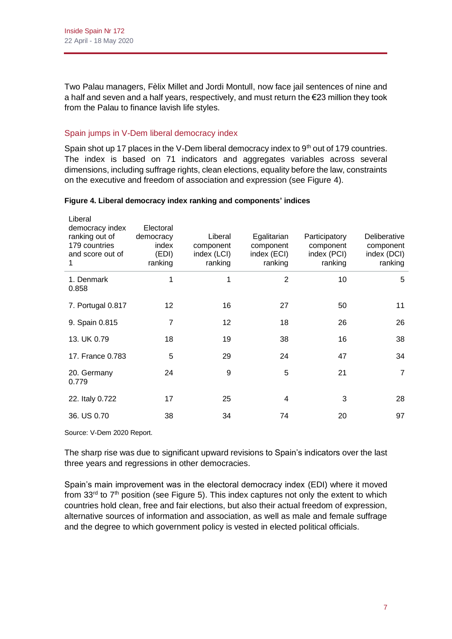Two Palau managers, Fèlix Millet and Jordi Montull, now face jail sentences of nine and a half and seven and a half years, respectively, and must return the €23 million they took from the Palau to finance lavish life styles.

# Spain jumps in V-Dem liberal democracy index

Spain shot up 17 places in the V-Dem liberal democracy index to  $9<sup>th</sup>$  out of 179 countries. The index is based on 71 indicators and aggregates variables across several dimensions, including suffrage rights, clean elections, equality before the law, constraints on the executive and freedom of association and expression (see Figure 4).

| Liberal<br>democracy index<br>ranking out of<br>179 countries<br>and score out of<br>1 | Electoral<br>democracy<br>index<br>(EDI)<br>ranking | Liberal<br>component<br>index (LCI)<br>ranking | Egalitarian<br>component<br>index (ECI)<br>ranking | Participatory<br>component<br>index (PCI)<br>ranking | Deliberative<br>component<br>index (DCI)<br>ranking |
|----------------------------------------------------------------------------------------|-----------------------------------------------------|------------------------------------------------|----------------------------------------------------|------------------------------------------------------|-----------------------------------------------------|
| 1. Denmark<br>0.858                                                                    | 1                                                   | 1                                              | $\overline{2}$                                     | 10                                                   | 5                                                   |
| 7. Portugal 0.817                                                                      | 12                                                  | 16                                             | 27                                                 | 50                                                   | 11                                                  |
| 9. Spain 0.815                                                                         | 7                                                   | $12 \overline{ }$                              | 18                                                 | 26                                                   | 26                                                  |
| 13. UK 0.79                                                                            | 18                                                  | 19                                             | 38                                                 | 16                                                   | 38                                                  |
| 17. France 0.783                                                                       | 5                                                   | 29                                             | 24                                                 | 47                                                   | 34                                                  |
| 20. Germany<br>0.779                                                                   | 24                                                  | 9                                              | 5                                                  | 21                                                   | $\overline{7}$                                      |
| 22. Italy 0.722                                                                        | 17                                                  | 25                                             | 4                                                  | 3                                                    | 28                                                  |
| 36. US 0.70                                                                            | 38                                                  | 34                                             | 74                                                 | 20                                                   | 97                                                  |

#### **Figure 4. Liberal democracy index ranking and components' indices**

Source: V-Dem 2020 Report.

The sharp rise was due to significant upward revisions to Spain's indicators over the last three years and regressions in other democracies.

Spain's main improvement was in the electoral democracy index (EDI) where it moved from  $33<sup>rd</sup>$  to  $7<sup>th</sup>$  position (see Figure 5). This index captures not only the extent to which countries hold clean, free and fair elections, but also their actual freedom of expression, alternative sources of information and association, as well as male and female suffrage and the degree to which government policy is vested in elected political officials.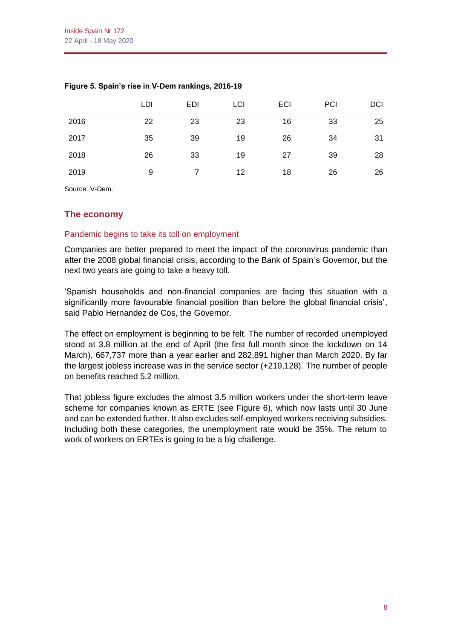|      | LDI | <b>EDI</b> | LCI | <b>ECI</b> | PCI | DCI |
|------|-----|------------|-----|------------|-----|-----|
| 2016 | 22  | 23         | 23  | 16         | 33  | 25  |
| 2017 | 35  | 39         | 19  | 26         | 34  | 31  |
| 2018 | 26  | 33         | 19  | 27         | 39  | 28  |
| 2019 | 9   |            | 12  | 18         | 26  | 26  |

### **Figure 5. Spain's rise in V-Dem rankings, 2016-19**

Source: V-Dem.

# **The economy**

#### Pandemic begins to take its toll on employment

Companies are better prepared to meet the impact of the coronavirus pandemic than after the 2008 global financial crisis, according to the Bank of Spain's Governor, but the next two years are going to take a heavy toll.

'Spanish households and non-financial companies are facing this situation with a significantly more favourable financial position than before the global financial crisis', said Pablo Hernandez de Cos, the Governor.

The effect on employment is beginning to be felt. The number of recorded unemployed stood at 3.8 million at the end of April (the first full month since the lockdown on 14 March), 667,737 more than a year earlier and 282,891 higher than March 2020. By far the largest jobless increase was in the service sector (+219,128). The number of people on benefits reached 5.2 million.

That jobless figure excludes the almost 3.5 million workers under the short-term leave scheme for companies known as ERTE (see Figure 6), which now lasts until 30 June and can be extended further. It also excludes self-employed workers receiving subsidies. Including both these categories, the unemployment rate would be 35%. The return to work of workers on ERTEs is going to be a big challenge.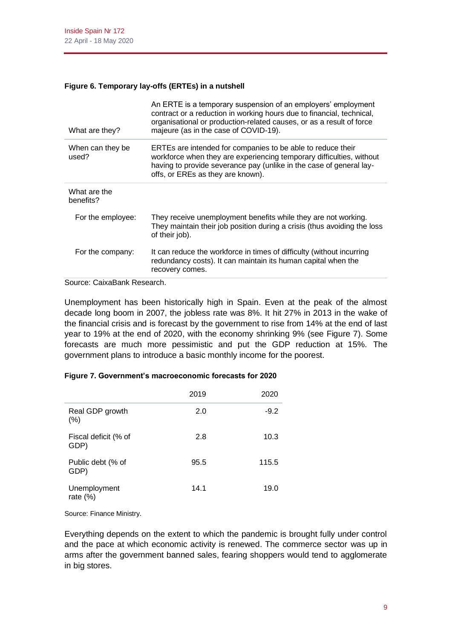### **Figure 6. Temporary lay-offs (ERTEs) in a nutshell**

| What are they?            | An ERTE is a temporary suspension of an employers' employment<br>contract or a reduction in working hours due to financial, technical,<br>organisational or production-related causes, or as a result of force<br>majeure (as in the case of COVID-19). |
|---------------------------|---------------------------------------------------------------------------------------------------------------------------------------------------------------------------------------------------------------------------------------------------------|
| When can they be<br>used? | ERTEs are intended for companies to be able to reduce their<br>workforce when they are experiencing temporary difficulties, without<br>having to provide severance pay (unlike in the case of general lay-<br>offs, or EREs as they are known).         |
| What are the<br>benefits? |                                                                                                                                                                                                                                                         |
| For the employee:         | They receive unemployment benefits while they are not working.<br>They maintain their job position during a crisis (thus avoiding the loss<br>of their job).                                                                                            |
| For the company:          | It can reduce the workforce in times of difficulty (without incurring<br>redundancy costs). It can maintain its human capital when the<br>recovery comes.                                                                                               |

Source: CaixaBank Research.

Unemployment has been historically high in Spain. Even at the peak of the almost decade long boom in 2007, the jobless rate was 8%. It hit 27% in 2013 in the wake of the financial crisis and is forecast by the government to rise from 14% at the end of last year to 19% at the end of 2020, with the economy shrinking 9% (see Figure 7). Some forecasts are much more pessimistic and put the GDP reduction at 15%. The government plans to introduce a basic monthly income for the poorest.

|                              | 2019 | 2020   |
|------------------------------|------|--------|
| Real GDP growth<br>(% )      | 2.0  | $-9.2$ |
| Fiscal deficit (% of<br>GDP) | 2.8  | 10.3   |
| Public debt (% of<br>GDP)    | 95.5 | 115.5  |
| Unemployment<br>rate $(\%)$  | 14.1 | 19.0   |

#### **Figure 7. Government's macroeconomic forecasts for 2020**

Source: Finance Ministry.

Everything depends on the extent to which the pandemic is brought fully under control and the pace at which economic activity is renewed. The commerce sector was up in arms after the government banned sales, fearing shoppers would tend to agglomerate in big stores.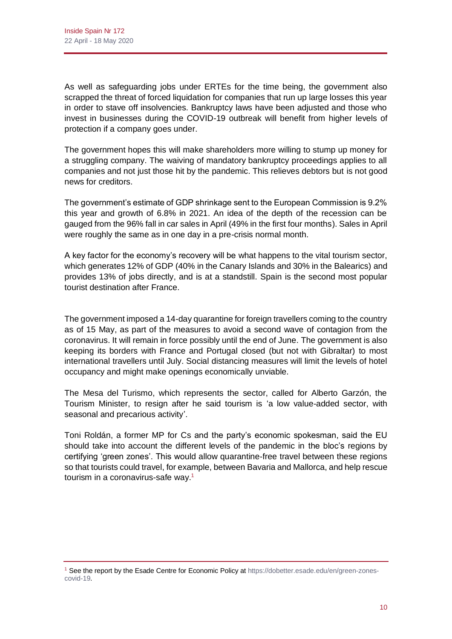As well as safeguarding jobs under ERTEs for the time being, the government also scrapped the threat of forced liquidation for companies that run up large losses this year in order to stave off insolvencies. Bankruptcy laws have been adjusted and those who invest in businesses during the COVID-19 outbreak will benefit from higher levels of protection if a company goes under.

The government hopes this will make shareholders more willing to stump up money for a struggling company. The waiving of mandatory bankruptcy proceedings applies to all companies and not just those hit by the pandemic. This relieves debtors but is not good news for creditors.

The government's estimate of GDP shrinkage sent to the European Commission is 9.2% this year and growth of 6.8% in 2021. An idea of the depth of the recession can be gauged from the 96% fall in car sales in April (49% in the first four months). Sales in April were roughly the same as in one day in a pre-crisis normal month.

A key factor for the economy's recovery will be what happens to the vital tourism sector, which generates 12% of GDP (40% in the Canary Islands and 30% in the Balearics) and provides 13% of jobs directly, and is at a standstill. Spain is the second most popular tourist destination after France.

The government imposed a 14-day quarantine for foreign travellers coming to the country as of 15 May, as part of the measures to avoid a second wave of contagion from the coronavirus. It will remain in force possibly until the end of June. The government is also keeping its borders with France and Portugal closed (but not with Gibraltar) to most international travellers until July. Social distancing measures will limit the levels of hotel occupancy and might make openings economically unviable.

The Mesa del Turismo, which represents the sector, called for Alberto Garzón, the Tourism Minister, to resign after he said tourism is 'a low value-added sector, with seasonal and precarious activity'.

Toni Roldán, a former MP for Cs and the party's economic spokesman, said the EU should take into account the different levels of the pandemic in the bloc's regions by certifying 'green zones'. This would allow quarantine-free travel between these regions so that tourists could travel, for example, between Bavaria and Mallorca, and help rescue tourism in a coronavirus-safe way.<sup>1</sup>

<sup>1</sup> See the report by the Esade Centre for Economic Policy a[t https://dobetter.esade.edu/en/green-zones](https://dobetter.esade.edu/en/green-zones-covid-19)[covid-19.](https://dobetter.esade.edu/en/green-zones-covid-19)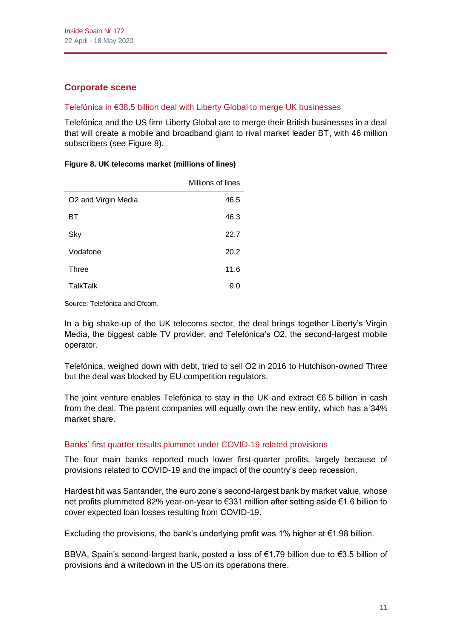# **Corporate scene**

# Telefónica in €38.5 billion deal with Liberty Global to merge UK businesses

Telefónica and the US firm Liberty Global are to merge their British businesses in a deal that will create a mobile and broadband giant to rival market leader BT, with 46 million subscribers (see Figure 8).

|                     | Millions of lines |
|---------------------|-------------------|
| O2 and Virgin Media | 46.5              |
| ΒТ                  | 46.3              |
| Sky                 | 22.7              |
| Vodafone            | 20.2              |
| <b>Three</b>        | 11.6              |
| <b>TalkTalk</b>     | 9.0               |

#### **Figure 8. UK telecoms market (millions of lines)**

Source: Telefónica and Ofcom.

In a big shake-up of the UK telecoms sector, the deal brings together Liberty's Virgin Media, the biggest cable TV provider, and Telefónica's O2, the second-largest mobile operator.

Telefónica, weighed down with debt, tried to sell O2 in 2016 to Hutchison-owned Three but the deal was blocked by EU competition regulators.

The joint venture enables Telefónica to stay in the UK and extract  $\epsilon$ 6.5 billion in cash from the deal. The parent companies will equally own the new entity, which has a 34% market share.

### Banks' first quarter results plummet under COVID-19 related provisions

The four main banks reported much lower first-quarter profits, largely because of provisions related to COVID-19 and the impact of the country's deep recession.

Hardest hit was Santander, the euro zone's second-largest bank by market value, whose net profits plummeted 82% year-on-year to €331 million after setting aside €1.6 billion to cover expected loan losses resulting from COVID-19.

Excluding the provisions, the bank's underlying profit was 1% higher at  $\epsilon$ 1.98 billion.

BBVA, Spain's second-largest bank, posted a loss of €1.79 billion due to €3.5 billion of provisions and a writedown in the US on its operations there.